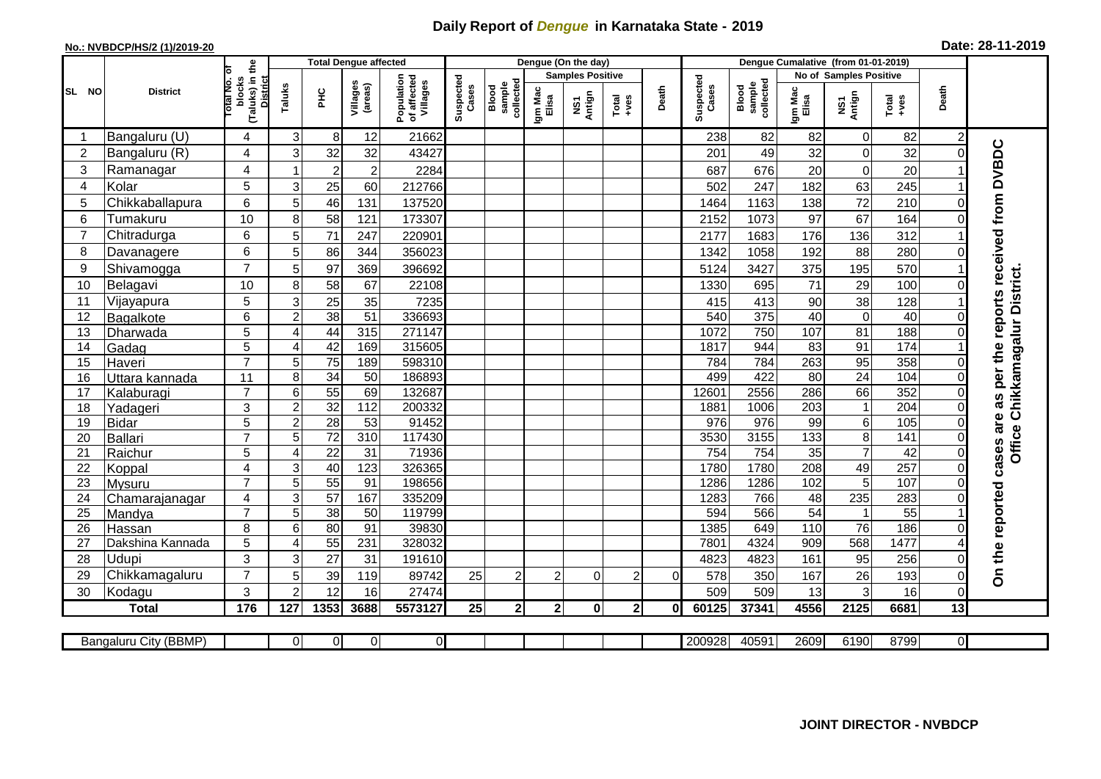## **Daily Report of** *Dengue* **in Karnataka State - 2019**

## **No.: NVBDCP/HS/2 (1)/2019-20 Date: 28-11-2019**

|                |                           |                                                             |                | <b>Total Dengue affected</b> |                     |                                       |                    |                              |                  | Dengue (On the day)     |                                                              |          |                    |                              |                  |                        |               |                |                                        |
|----------------|---------------------------|-------------------------------------------------------------|----------------|------------------------------|---------------------|---------------------------------------|--------------------|------------------------------|------------------|-------------------------|--------------------------------------------------------------|----------|--------------------|------------------------------|------------------|------------------------|---------------|----------------|----------------------------------------|
|                |                           |                                                             |                |                              |                     |                                       |                    |                              |                  | <b>Samples Positive</b> |                                                              |          |                    |                              |                  | No of Samples Positive |               |                |                                        |
| SL NO          | <b>District</b>           | (Taluks) in the<br>otal No. of<br>blocks<br><b>District</b> | Taluks         | ĔБ                           | Villages<br>(areas) | Population<br>of affected<br>Villages | Suspected<br>Cases | sample<br>collected<br>Blood | Igm Mac<br>Elisa | NS1<br>Antign           | $\begin{array}{c}\n\text{Total} \\ \text{+ves}\n\end{array}$ | Death    | Suspected<br>Cases | collected<br>sample<br>Blood | Igm Mac<br>Elisa | NS1<br>Antign          | Total<br>+ves | Death          |                                        |
| -1             | Bangaluru (U)             | 4                                                           | 3              | 8 <sup>1</sup>               | 12                  | 21662                                 |                    |                              |                  |                         |                                                              |          | 238                | 82                           | 82               | $\mathbf 0$            | 82            | $\overline{c}$ |                                        |
| 2              | Bangaluru (R)             | 4                                                           | 3              | 32                           | 32                  | 43427                                 |                    |                              |                  |                         |                                                              |          | 201                | 49                           | 32               | $\mathbf 0$            | 32            | $\Omega$       |                                        |
| 3              | Ramanagar                 | 4                                                           | 1              | $\overline{c}$               | $\overline{2}$      | 2284                                  |                    |                              |                  |                         |                                                              |          | 687                | 676                          | 20               | $\mathsf{O}\xspace$    | 20            |                | as per the reports received from DVBDC |
| 4              | Kolar                     | 5                                                           | 3              | 25                           | 60                  | 212766                                |                    |                              |                  |                         |                                                              |          | 502                | 247                          | 182              | 63                     | 245           |                |                                        |
| 5              | Chikkaballapura           | 6                                                           | 5              | 46                           | 131                 | 137520                                |                    |                              |                  |                         |                                                              |          | 1464               | 1163                         | 138              | 72                     | 210           | 0              |                                        |
| 6              | Tumakuru                  | 10                                                          | 8              | 58                           | 121                 | 173307                                |                    |                              |                  |                         |                                                              |          | 2152               | 1073                         | 97               | 67                     | 164           | $\Omega$       |                                        |
| $\overline{7}$ | Chitradurga               | 6                                                           | 5              | 71                           | 247                 | 220901                                |                    |                              |                  |                         |                                                              |          | 2177               | 1683                         | 176              | 136                    | 312           |                |                                        |
| 8              | Davanagere                | 6                                                           | 5              | 86                           | 344                 | 356023                                |                    |                              |                  |                         |                                                              |          | 1342               | 1058                         | 192              | 88                     | 280           | $\Omega$       |                                        |
| 9              | Shivamogga                | $\overline{7}$                                              | 5              | 97                           | 369                 | 396692                                |                    |                              |                  |                         |                                                              |          | 5124               | 3427                         | 375              | 195                    | 570           |                |                                        |
| 10             | Belagavi                  | 10                                                          | 8              | 58                           | 67                  | 22108                                 |                    |                              |                  |                         |                                                              |          | 1330               | 695                          | 71               | 29                     | 100           |                | Office Chikkamagalur District.         |
| 11             | Vijayapura                | 5                                                           | 3              | 25                           | 35                  | 7235                                  |                    |                              |                  |                         |                                                              |          | 415                | 413                          | 90               | 38                     | 128           |                |                                        |
| 12             | Bagalkote                 | 6                                                           | $\overline{a}$ | 38                           | 51                  | 336693                                |                    |                              |                  |                         |                                                              |          | 540                | 375                          | 40               | $\overline{0}$         | 40            | $\Omega$       |                                        |
| 13             | Dharwada                  | $\overline{5}$                                              | 4              | 44                           | 315                 | 271147                                |                    |                              |                  |                         |                                                              |          | 1072               | 750                          | 107              | 81                     | 188           |                |                                        |
| 14             | Gadag                     | $\overline{5}$                                              | 4              | 42                           | 169                 | 315605                                |                    |                              |                  |                         |                                                              |          | 1817               | 944                          | 83               | 91                     | 174           |                |                                        |
| 15             | Haveri                    | $\overline{7}$                                              | 5 <sup>5</sup> | 75                           | 189                 | 598310                                |                    |                              |                  |                         |                                                              |          | 784                | 784                          | 263              | 95                     | 358           | 0              |                                        |
| 16             | Uttara kannada            | 11                                                          | 8              | 34                           | $\overline{50}$     | 186893                                |                    |                              |                  |                         |                                                              |          | 499                | 422                          | $\overline{80}$  | 24                     | 104           | 0              |                                        |
| 17             | Kalaburagi                | $\overline{7}$                                              | 6              | 55                           | 69                  | 132687                                |                    |                              |                  |                         |                                                              |          | 12601              | 2556                         | 286              | 66                     | 352           |                |                                        |
| 18             | Yadageri                  | 3                                                           | $\overline{c}$ | 32                           | 112                 | 200332                                |                    |                              |                  |                         |                                                              |          | 188'               | 1006                         | 203              | $\mathbf{1}$           | 204           | 0              |                                        |
| 19             | <b>Bidar</b>              | $\overline{5}$                                              | $\overline{c}$ | 28                           | $\overline{53}$     | 91452                                 |                    |                              |                  |                         |                                                              |          | $\overline{976}$   | 976                          | 99               | 6                      | 105           | 0              | are                                    |
| 20             | <b>Ballari</b>            | $\overline{7}$                                              | 5              | $\overline{72}$              | 310                 | 117430                                |                    |                              |                  |                         |                                                              |          | 3530               | 3155                         | 133              | $\overline{8}$         | 141           | 0              |                                        |
| 21             | Raichur                   | 5                                                           | 4              | $\overline{22}$              | $\overline{31}$     | 71936                                 |                    |                              |                  |                         |                                                              |          | 754                | 754                          | 35               | $\overline{7}$         | 42            | $\Omega$       | cases                                  |
| 22             | Koppal                    | 4                                                           | 3              | 40                           | 123                 | 326365                                |                    |                              |                  |                         |                                                              |          | 1780               | 1780                         | 208              | 49                     | 257           | $\Omega$       |                                        |
| 23             | Mysuru                    | $\overline{7}$                                              | 5              | 55                           | 91                  | 198656                                |                    |                              |                  |                         |                                                              |          | 1286               | 1286                         | 102              | $\overline{5}$         | 107           | $\Omega$       |                                        |
| 24             | Chamarajanagar            | 4                                                           | 3              | 57                           | 167                 | 335209                                |                    |                              |                  |                         |                                                              |          | 1283               | 766                          | 48               | 235                    | 283           | 0              |                                        |
| 25             | Mandya                    | $\overline{7}$                                              | 5              | 38                           | 50                  | 119799                                |                    |                              |                  |                         |                                                              |          | 594                | 566                          | $\overline{54}$  | $\mathbf{1}$           | 55            |                |                                        |
| 26             | Hassan                    | 8<br>5                                                      | 6<br>4         | 80<br>55                     | 91<br>231           | 39830<br>328032                       |                    |                              |                  |                         |                                                              |          | 1385<br>7801       | 649<br>4324                  | 110<br>909       | $\overline{76}$<br>568 | 186<br>1477   |                |                                        |
| 27<br>28       | Dakshina Kannada<br>Udupi | 3                                                           |                |                              | 31                  |                                       |                    |                              |                  |                         |                                                              |          |                    |                              |                  |                        |               |                |                                        |
| 29             | Chikkamagaluru            | $\overline{7}$                                              | 3<br>5         | 27<br>39                     | 119                 | 191610<br>89742                       | 25                 | $\overline{2}$               | $\overline{2}$   | $\Omega$                | $\overline{2}$                                               | $\Omega$ | 4823<br>578        | 4823<br>350                  | 161<br>167       | 95<br>26               | 256<br>193    | $\Omega$<br>0  | On the reported                        |
| 30             |                           | 3                                                           | $\overline{2}$ | 12                           | 16                  | 27474                                 |                    |                              |                  |                         |                                                              |          | 509                | 509                          | 13               | 3                      | 16            | $\overline{0}$ |                                        |
|                | Kodagu                    | 176                                                         |                | 1353                         |                     |                                       |                    |                              |                  |                         | $\mathbf{2}$                                                 |          |                    |                              |                  | 2125                   |               |                |                                        |
|                | <b>Total</b>              |                                                             | 127            |                              | 3688                | 5573127                               | 25                 | $\overline{\mathbf{2}}$      | 2 <sup>1</sup>   | $\mathbf{0}$            |                                                              | 0I       | 60125              | 37341                        | 4556             |                        | 6681          | 13             |                                        |
|                |                           |                                                             |                |                              |                     |                                       |                    |                              |                  |                         |                                                              |          |                    |                              | 2609             |                        |               |                |                                        |
|                | Bangaluru City (BBMP)     |                                                             | ΟI             | $\overline{0}$               | $\overline{0}$      | $\overline{0}$                        |                    |                              |                  |                         |                                                              |          | 200928             | 40591                        |                  | 6190                   | 8799          | ΟI             |                                        |